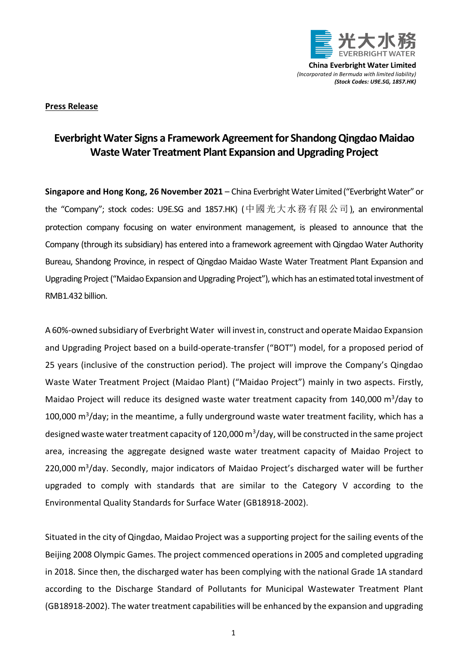

**China Everbright Water Limited** *(Incorporated in Bermuda with limited liability) (Stock Codes: U9E.SG, 1857.HK)*

## **Press Release**

## **Everbright Water Signs a Framework Agreement for Shandong Qingdao Maidao Waste Water Treatment Plant Expansion and Upgrading Project**

**Singapore and Hong Kong, 26 November 2021** – China Everbright Water Limited ("Everbright Water" or the "Company"; stock codes: U9E.SG and 1857.HK) (中國光大水務有限公司), an environmental protection company focusing on water environment management, is pleased to announce that the Company (through its subsidiary) has entered into a framework agreement with Qingdao Water Authority Bureau, Shandong Province, in respect of Qingdao Maidao Waste Water Treatment Plant Expansion and Upgrading Project ("Maidao Expansion and Upgrading Project"), which has an estimated total investment of RMB1.432 billion.

A 60%-owned subsidiary of Everbright Water will invest in, construct and operate Maidao Expansion and Upgrading Project based on a build-operate-transfer ("BOT") model, for a proposed period of 25 years (inclusive of the construction period). The project will improve the Company's Qingdao Waste Water Treatment Project (Maidao Plant) ("Maidao Project") mainly in two aspects. Firstly, Maidao Project will reduce its designed waste water treatment capacity from 140,000 m<sup>3</sup>/day to 100,000 m<sup>3</sup>/day; in the meantime, a fully underground waste water treatment facility, which has a designed waste water treatment capacity of 120,000 m<sup>3</sup>/day, will be constructed in the same project area, increasing the aggregate designed waste water treatment capacity of Maidao Project to 220,000 m<sup>3</sup>/day. Secondly, major indicators of Maidao Project's discharged water will be further upgraded to comply with standards that are similar to the Category V according to the Environmental Quality Standards for Surface Water (GB18918-2002).

Situated in the city of Qingdao, Maidao Project was a supporting project for the sailing events of the Beijing 2008 Olympic Games. The project commenced operations in 2005 and completed upgrading in 2018. Since then, the discharged water has been complying with the national Grade 1A standard according to the Discharge Standard of Pollutants for Municipal Wastewater Treatment Plant (GB18918-2002). The water treatment capabilities will be enhanced by the expansion and upgrading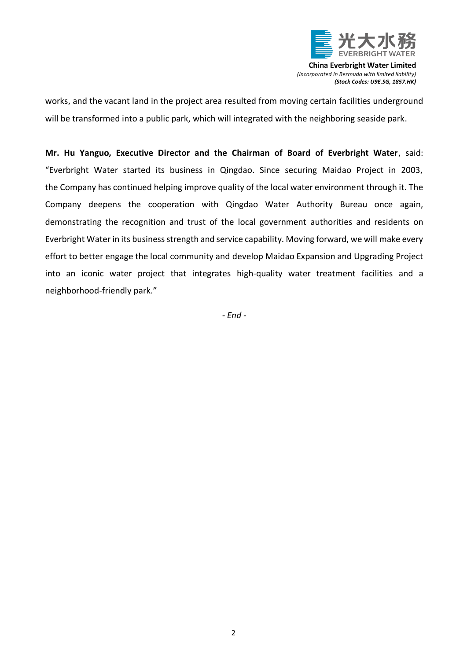

**China Everbright Water Limited** *(Incorporated in Bermuda with limited liability) (Stock Codes: U9E.SG, 1857.HK)*

works, and the vacant land in the project area resulted from moving certain facilities underground will be transformed into a public park, which will integrated with the neighboring seaside park.

**Mr. Hu Yanguo, Executive Director and the Chairman of Board of Everbright Water**, said: "Everbright Water started its business in Qingdao. Since securing Maidao Project in 2003, the Company has continued helping improve quality of the local water environment through it. The Company deepens the cooperation with Qingdao Water Authority Bureau once again, demonstrating the recognition and trust of the local government authorities and residents on Everbright Water in its business strength and service capability. Moving forward, we will make every effort to better engage the local community and develop Maidao Expansion and Upgrading Project into an iconic water project that integrates high-quality water treatment facilities and a neighborhood-friendly park."

*- End -*